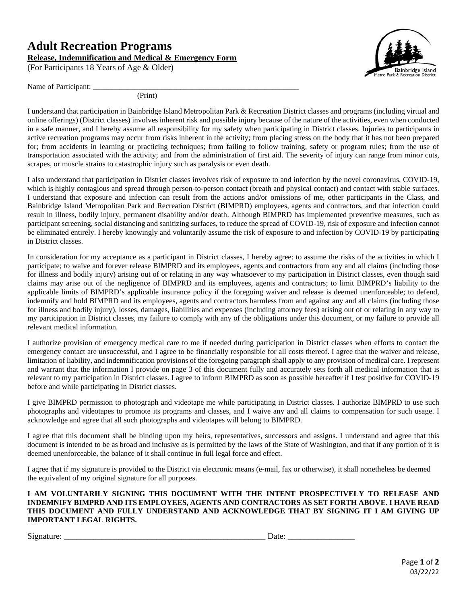## **Adult Recreation Programs Release, Indemnification and Medical & Emergency Form**

(For Participants 18 Years of Age & Older)



Name of Participant: \_\_\_\_\_\_\_\_\_\_\_\_\_\_\_\_\_\_\_\_\_\_\_\_\_\_\_\_\_\_\_\_\_\_\_\_\_\_\_\_\_\_\_\_\_\_\_\_\_\_\_\_\_\_

(Print)

I understand that participation in Bainbridge Island Metropolitan Park & Recreation District classes and programs (including virtual and online offerings) (District classes) involves inherent risk and possible injury because of the nature of the activities, even when conducted in a safe manner, and I hereby assume all responsibility for my safety when participating in District classes. Injuries to participants in active recreation programs may occur from risks inherent in the activity; from placing stress on the body that it has not been prepared for; from accidents in learning or practicing techniques; from failing to follow training, safety or program rules; from the use of transportation associated with the activity; and from the administration of first aid. The severity of injury can range from minor cuts, scrapes, or muscle strains to catastrophic injury such as paralysis or even death.

I also understand that participation in District classes involves risk of exposure to and infection by the novel coronavirus, COVID-19, which is highly contagious and spread through person-to-person contact (breath and physical contact) and contact with stable surfaces. I understand that exposure and infection can result from the actions and/or omissions of me, other participants in the Class, and Bainbridge Island Metropolitan Park and Recreation District (BIMPRD) employees, agents and contractors, and that infection could result in illness, bodily injury, permanent disability and/or death. Although BIMPRD has implemented preventive measures, such as participant screening, social distancing and sanitizing surfaces, to reduce the spread of COVID-19, risk of exposure and infection cannot be eliminated entirely. I hereby knowingly and voluntarily assume the risk of exposure to and infection by COVID-19 by participating in District classes.

In consideration for my acceptance as a participant in District classes, I hereby agree: to assume the risks of the activities in which I participate; to waive and forever release BIMPRD and its employees, agents and contractors from any and all claims (including those for illness and bodily injury) arising out of or relating in any way whatsoever to my participation in District classes, even though said claims may arise out of the negligence of BIMPRD and its employees, agents and contractors; to limit BIMPRD's liability to the applicable limits of BIMPRD's applicable insurance policy if the foregoing waiver and release is deemed unenforceable; to defend, indemnify and hold BIMPRD and its employees, agents and contractors harmless from and against any and all claims (including those for illness and bodily injury), losses, damages, liabilities and expenses (including attorney fees) arising out of or relating in any way to my participation in District classes, my failure to comply with any of the obligations under this document, or my failure to provide all relevant medical information.

I authorize provision of emergency medical care to me if needed during participation in District classes when efforts to contact the emergency contact are unsuccessful, and I agree to be financially responsible for all costs thereof. I agree that the waiver and release, limitation of liability, and indemnification provisions of the foregoing paragraph shall apply to any provision of medical care. I represent and warrant that the information I provide on page 3 of this document fully and accurately sets forth all medical information that is relevant to my participation in District classes. I agree to inform BIMPRD as soon as possible hereafter if I test positive for COVID-19 before and while participating in District classes.

I give BIMPRD permission to photograph and videotape me while participating in District classes. I authorize BIMPRD to use such photographs and videotapes to promote its programs and classes, and I waive any and all claims to compensation for such usage. I acknowledge and agree that all such photographs and videotapes will belong to BIMPRD.

I agree that this document shall be binding upon my heirs, representatives, successors and assigns. I understand and agree that this document is intended to be as broad and inclusive as is permitted by the laws of the State of Washington, and that if any portion of it is deemed unenforceable, the balance of it shall continue in full legal force and effect.

I agree that if my signature is provided to the District via electronic means (e-mail, fax or otherwise), it shall nonetheless be deemed the equivalent of my original signature for all purposes.

**I AM VOLUNTARILY SIGNING THIS DOCUMENT WITH THE INTENT PROSPECTIVELY TO RELEASE AND INDEMNIFY BIMPRD AND ITS EMPLOYEES, AGENTS AND CONTRACTORS AS SET FORTH ABOVE. I HAVE READ THIS DOCUMENT AND FULLY UNDERSTAND AND ACKNOWLEDGE THAT BY SIGNING IT I AM GIVING UP IMPORTANT LEGAL RIGHTS.**

Signature: \_\_\_\_\_\_\_\_\_\_\_\_\_\_\_\_\_\_\_\_\_\_\_\_\_\_\_\_\_\_\_\_\_\_\_\_\_\_\_\_\_\_\_\_\_\_\_\_ Date: \_\_\_\_\_\_\_\_\_\_\_\_\_\_\_\_